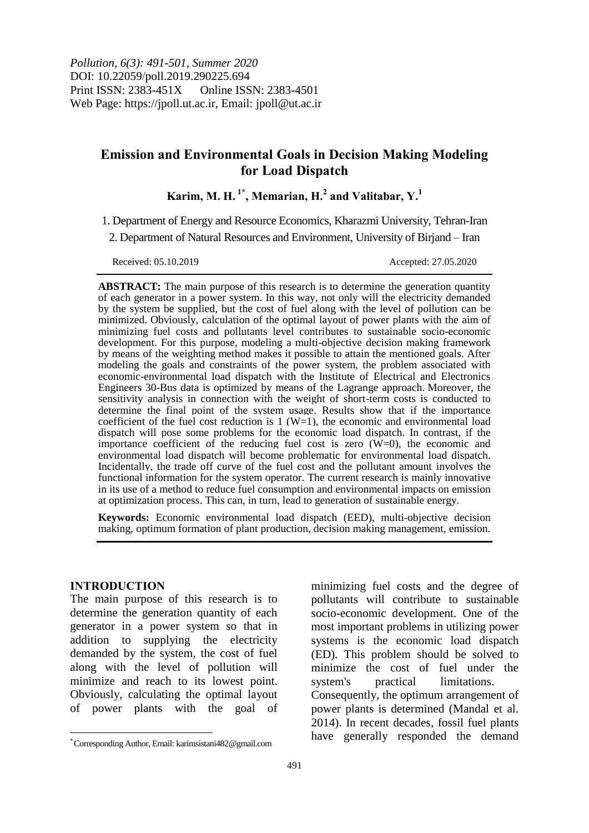# **Emission and Environmental Goals in Decision Making Modeling for Load Dispatch**

 $\bold{K}$ arim, M. H.  $^{1*}$ , Memarian, H. $^{2}$  and Valitabar,  $\boldsymbol{\mathrm{Y}}.^{1}$ 

1. Department of Energy and Resource Economics, Kharazmi University, Tehran-Iran

2. Department of Natural Resources and Environment, University of Birjand – Iran

Received: 05.10.2019 Accepted: 27.05.2020

**ABSTRACT:** The main purpose of this research is to determine the generation quantity of each generator in a power system. In this way, not only will the electricity demanded by the system be supplied, but the cost of fuel along with the level of pollution can be minimized. Obviously, calculation of the optimal layout of power plants with the aim of minimizing fuel costs and pollutants level contributes to sustainable socio-economic development. For this purpose, modeling a multi-objective decision making framework by means of the weighting method makes it possible to attain the mentioned goals. After modeling the goals and constraints of the power system, the problem associated with economic-environmental load dispatch with the Institute of Electrical and Electronics Engineers 30-Bus data is optimized by means of the Lagrange approach. Moreover, the sensitivity analysis in connection with the weight of short-term costs is conducted to determine the final point of the system usage. Results show that if the importance coefficient of the fuel cost reduction is  $1 (W=1)$ , the economic and environmental load dispatch will pose some problems for the economic load dispatch. In contrast, if the importance coefficient of the reducing fuel cost is zero (W=0), the economic and environmental load dispatch will become problematic for environmental load dispatch. Incidentally, the trade off curve of the fuel cost and the pollutant amount involves the functional information for the system operator. The current research is mainly innovative in its use of a method to reduce fuel consumption and environmental impacts on emission at optimization process. This can, in turn, lead to generation of sustainable energy.

**Keywords:** Economic environmental load dispatch (EED), multi-objective decision making, optimum formation of plant production, decision making management, emission.

### **INTRODUCTION**

 $\overline{a}$ 

The main purpose of this research is to determine the generation quantity of each generator in a power system so that in addition to supplying the electricity demanded by the system, the cost of fuel along with the level of pollution will minimize and reach to its lowest point. Obviously, calculating the optimal layout of power plants with the goal of minimizing fuel costs and the degree of pollutants will contribute to sustainable socio-economic development. One of the most important problems in utilizing power systems is the economic load dispatch (ED). This problem should be solved to minimize the cost of fuel under the system's practical limitations. Consequently, the optimum arrangement of power plants is determined (Mandal et al. 2014). In recent decades, fossil fuel plants have generally responded the demand

<sup>\*</sup> Corresponding Author, Email: karimsistani482@gmail.com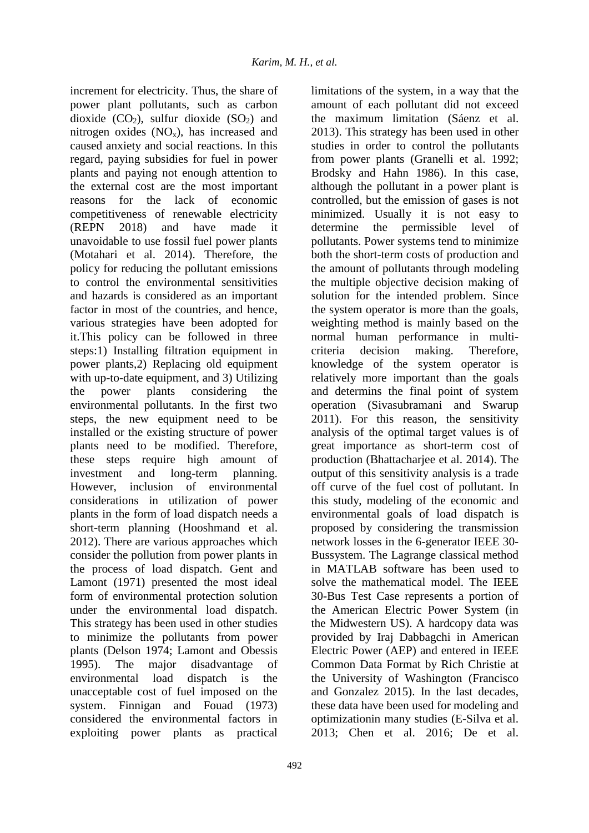increment for electricity. Thus, the share of power plant pollutants, such as carbon dioxide  $(CO<sub>2</sub>)$ , sulfur dioxide  $(SO<sub>2</sub>)$  and nitrogen oxides  $(NO_x)$ , has increased and caused anxiety and social reactions. In this regard, paying subsidies for fuel in power plants and paying not enough attention to the external cost are the most important reasons for the lack of economic competitiveness of renewable electricity (REPN 2018) and have made it unavoidable to use fossil fuel power plants (Motahari et al. 2014). Therefore, the policy for reducing the pollutant emissions to control the environmental sensitivities and hazards is considered as an important factor in most of the countries, and hence, various strategies have been adopted for it.This policy can be followed in three steps:1) Installing filtration equipment in power plants,2) Replacing old equipment with up-to-date equipment, and 3) Utilizing the power plants considering the environmental pollutants. In the first two steps, the new equipment need to be installed or the existing structure of power plants need to be modified. Therefore, these steps require high amount of investment and long-term planning. However, inclusion of environmental considerations in utilization of power plants in the form of load dispatch needs a short-term planning (Hooshmand et al. 2012). There are various approaches which consider the pollution from power plants in the process of load dispatch. Gent and Lamont (1971) presented the most ideal form of environmental protection solution under the environmental load dispatch. This strategy has been used in other studies to minimize the pollutants from power plants (Delson 1974; Lamont and Obessis 1995). The major disadvantage of environmental load dispatch is the unacceptable cost of fuel imposed on the system. Finnigan and Fouad (1973) considered the environmental factors in exploiting power plants as practical

492

limitations of the system, in a way that the amount of each pollutant did not exceed the maximum limitation (Sáenz et al. 2013). This strategy has been used in other studies in order to control the pollutants from power plants (Granelli et al. 1992; Brodsky and Hahn 1986). In this case, although the pollutant in a power plant is controlled, but the emission of gases is not minimized. Usually it is not easy to determine the permissible level of pollutants. Power systems tend to minimize both the short-term costs of production and the amount of pollutants through modeling the multiple objective decision making of solution for the intended problem. Since the system operator is more than the goals, weighting method is mainly based on the normal human performance in multicriteria decision making. Therefore, knowledge of the system operator is relatively more important than the goals and determins the final point of system operation (Sivasubramani and Swarup 2011). For this reason, the sensitivity analysis of the optimal target values is of great importance as short-term cost of production (Bhattacharjee et al. 2014). The output of this sensitivity analysis is a trade off curve of the fuel cost of pollutant. In this study, modeling of the economic and environmental goals of load dispatch is proposed by considering the transmission network losses in the 6-generator IEEE 30- Bussystem. The Lagrange classical method in MATLAB software has been used to solve the mathematical model. The IEEE 30-Bus Test Case represents a portion of the American Electric Power System (in the Midwestern US). A hardcopy data was provided by Iraj Dabbagchi in American Electric Power (AEP) and entered in IEEE Common Data Format by Rich Christie at the University of Washington (Francisco and Gonzalez 2015). In the last decades, these data have been used for modeling and optimizationin many studies (E-Silva et al. 2013; Chen et al. 2016; De et al.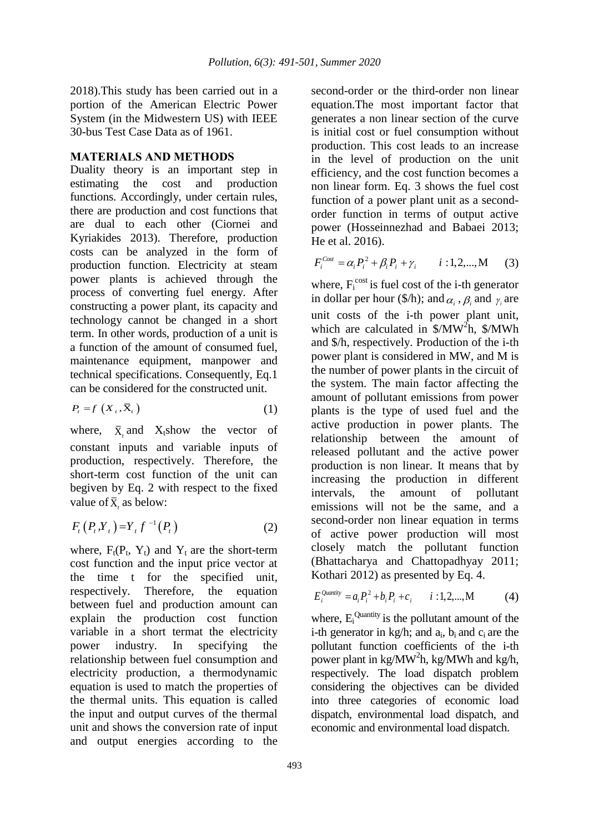2018).This study has been carried out in a portion of the American Electric Power System (in the Midwestern US) with IEEE 30-bus Test Case Data as of 1961.

# **MATERIALS AND METHODS**

Duality theory is an important step in estimating the cost and production functions. Accordingly, under certain rules, there are production and cost functions that are dual to each other (Ciornei and Kyriakides 2013). Therefore, production costs can be analyzed in the form of production function. Electricity at steam power plants is achieved through the process of converting fuel energy. After constructing a power plant, its capacity and technology cannot be changed in a short term. In other words, production of a unit is a function of the amount of consumed fuel, maintenance equipment, manpower and technical specifications. Consequently, Eq.1 can be considered for the constructed unit.

$$
P_t = f\left(X_t, \bar{X}_t\right) \tag{1}
$$

where,  $\bar{X}_t$  and  $X_t$ show the vector of constant inputs and variable inputs of production, respectively. Therefore, the short-term cost function of the unit can begiven by Eq. 2 with respect to the fixed value of  $\bar{X}_t$  as below:

$$
F_{t}(P_{t},Y_{t})=Y_{t}f^{-1}(P_{t})
$$
\n(2)

where,  $F_t(P_t, Y_t)$  and  $Y_t$  are the short-term cost function and the input price vector at the time t for the specified unit, respectively. Therefore, the equation between fuel and production amount can explain the production cost function variable in a short termat the electricity power industry. In specifying the relationship between fuel consumption and electricity production, a thermodynamic equation is used to match the properties of the thermal units. This equation is called the input and output curves of the thermal unit and shows the conversion rate of input and output energies according to the

second-order or the third-order non linear equation.The most important factor that generates a non linear section of the curve is initial cost or fuel consumption without production. This cost leads to an increase in the level of production on the unit efficiency, and the cost function becomes a non linear form. Eq. 3 shows the fuel cost function of a power plant unit as a secondorder function in terms of output active power (Hosseinnezhad and Babaei 2013; He et al. 2016).

$$
F_i^{Cost} = \alpha_i P_i^2 + \beta_i P_i + \gamma_i \qquad i:1,2,...,M \qquad (3)
$$

where,  $F_i^{cost}$  is fuel cost of the i-th generator in dollar per hour (\$/h); and  $\alpha_i$ ,  $\beta_i$  and  $\gamma_i$  are unit costs of the i-th power plant unit, which are calculated in  $\sqrt{\frac{m}{n}}$ ,  $\sqrt{\frac{m}{n}}$ and \$/h, respectively. Production of the i-th power plant is considered in MW, and M is the number of power plants in the circuit of the system. The main factor affecting the amount of pollutant emissions from power plants is the type of used fuel and the active production in power plants. The relationship between the amount of released pollutant and the active power production is non linear. It means that by increasing the production in different intervals, the amount of pollutant emissions will not be the same, and a second-order non linear equation in terms of active power production will most closely match the pollutant function (Bhattacharya and Chattopadhyay 2011; Kothari 2012) as presented by Eq. 4.

$$
E_i^{\text{Quantity}} = a_i P_i^2 + b_i P_i + c_i \qquad i:1,2,...,M \tag{4}
$$

where,  $E_i^{\text{Quantity}}$  is the pollutant amount of the i-th generator in  $kg/h$ ; and  $a_i$ ,  $b_i$  and  $c_i$  are the pollutant function coefficients of the i-th power plant in  $kg/MW^2h$ , kg/MWh and kg/h, respectively. The load dispatch problem considering the objectives can be divided into three categories of economic load dispatch, environmental load dispatch, and economic and environmental load dispatch.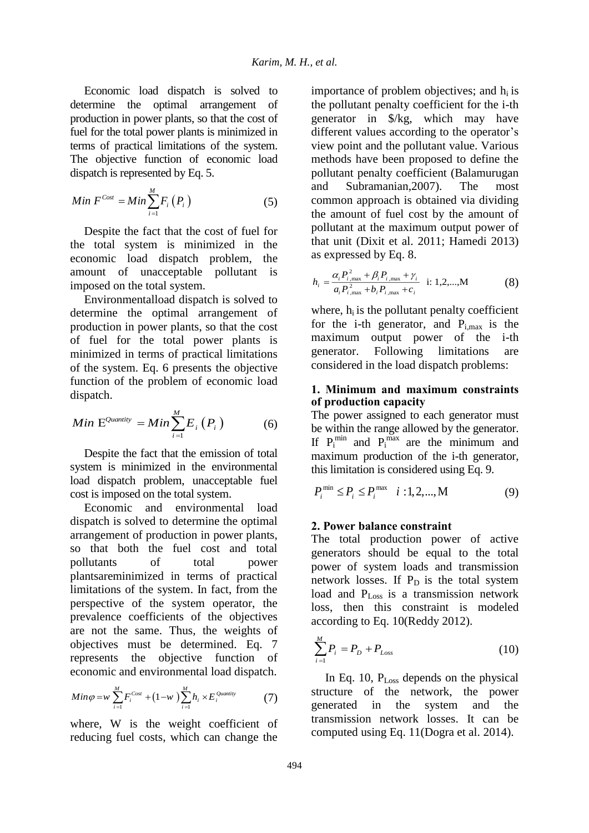Economic load dispatch is solved to determine the optimal arrangement of production in power plants, so that the cost of fuel for the total power plants is minimized in terms of practical limitations of the system. The objective function of economic load dispatch is represented by Eq. 5.

$$
Min F^{Cost} = Min \sum_{i=1}^{M} F_i(P_i)
$$
 (5)

Despite the fact that the cost of fuel for the total system is minimized in the economic load dispatch problem, the amount of unacceptable pollutant is imposed on the total system.

Environmentalload dispatch is solved to determine the optimal arrangement of production in power plants, so that the cost of fuel for the total power plants is minimized in terms of practical limitations of the system. Eq. 6 presents the objective function of the problem of economic load dispatch.

$$
Min\ \mathbf{E}^{Quantity} = Min\sum_{i=1}^{M} E_i\left(P_i\right) \tag{6}
$$

Despite the fact that the emission of total system is minimized in the environmental load dispatch problem, unacceptable fuel cost is imposed on the total system.

Economic and environmental load dispatch is solved to determine the optimal arrangement of production in power plants, so that both the fuel cost and total pollutants of total power plantsareminimized in terms of practical limitations of the system. In fact, from the perspective of the system operator, the prevalence coefficients of the objectives are not the same. Thus, the weights of objectives must be determined. Eq. 7 represents the objective function of economic and environmental load dispatch.

$$
Min \varphi = w \sum_{i=1}^{M} F_i^{Cost} + (1-w) \sum_{i=1}^{M} h_i \times E_i^{\mathcal{Q}^{\text{untrity}}} \tag{7}
$$

where, W is the weight coefficient of reducing fuel costs, which can change the importance of problem objectives; and  $h_i$  is the pollutant penalty coefficient for the i-th generator in \$/kg, which may have different values according to the operator's view point and the pollutant value. Various methods have been proposed to define the pollutant penalty coefficient (Balamurugan and Subramanian,2007). The most common approach is obtained via dividing the amount of fuel cost by the amount of pollutant at the maximum output power of that unit (Dixit et al. 2011; Hamedi 2013) as expressed by Eq. 8.

$$
h_{i} = \frac{\alpha_{i} P_{i,\max}^{2} + \beta_{i} P_{i,\max} + \gamma_{i}}{a_{i} P_{i,\max}^{2} + b_{i} P_{i,\max} + c_{i}} \quad \text{i: 1,2,...,M} \tag{8}
$$

where,  $h_i$  is the pollutant penalty coefficient for the i-th generator, and  $P_{i,max}$  is the maximum output power of the i-th generator. Following limitations are considered in the load dispatch problems:

# **1. Minimum and maximum constraints of production capacity**

The power assigned to each generator must be within the range allowed by the generator. If  $P_i^{min}$  and  $P_i^{max}$  are the minimum and maximum production of the i-th generator, this limitation is considered using Eq. 9.

$$
P_i^{\min} \le P_i \le P_i^{\max} \quad i:1,2,...,M \tag{9}
$$

# **2. Power balance constraint**

The total production power of active generators should be equal to the total power of system loads and transmission network losses. If  $P_D$  is the total system load and  $P_{Loss}$  is a transmission network loss, then this constraint is modeled according to Eq. 10(Reddy 2012).

$$
\sum_{i=1}^{M} P_i = P_D + P_{Loss}
$$
 (10)

In Eq. 10,  $P_{Loss}$  depends on the physical structure of the network, the power generated in the system and the transmission network losses. It can be computed using Eq. 11(Dogra et al. 2014).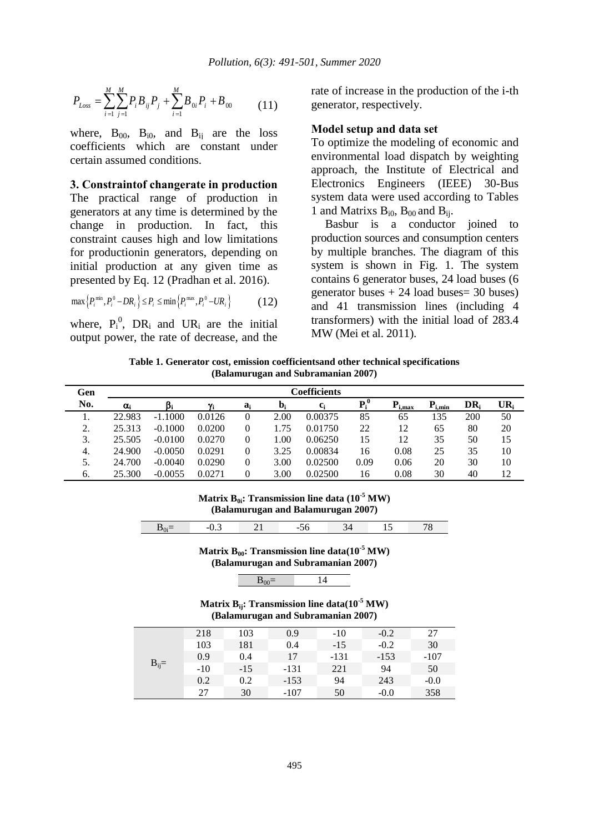$$
P_{Loss} = \sum_{i=1}^{M} \sum_{j=1}^{M} P_i B_{ij} P_j + \sum_{i=1}^{M} B_{0i} P_i + B_{00}
$$
 (11)

where,  $B_{00}$ ,  $B_{i0}$ , and  $B_{ii}$  are the loss coefficients which are constant under certain assumed conditions.

#### **3. Constraintof changerate in production**

The practical range of production in generators at any time is determined by the change in production. In fact, this constraint causes high and low limitations for productionin generators, depending on initial production at any given time as presented by Eq. 12 (Pradhan et al. 2016).

$$
\max\left\{P_i^{\min}, P_i^0 - DR_i\right\} \le P_i \le \min\left\{P_i^{\max}, P_i^0 - UR_i\right\} \tag{12}
$$

where,  $P_i^0$ , DR<sub>i</sub> and UR<sub>i</sub> are the initial output power, the rate of decrease, and the

rate of increase in the production of the i-th generator, respectively.

### **Model setup and data set**

To optimize the modeling of economic and environmental load dispatch by weighting approach, the Institute of Electrical and Electronics Engineers (IEEE) 30-Bus system data were used according to Tables 1 and Matrixs  $B_{i0}$ ,  $B_{00}$  and  $B_{ii}$ .

Basbur is a conductor joined to production sources and consumption centers by multiple branches. The diagram of this system is shown in Fig. 1. The system contains 6 generator buses, 24 load buses (6 generator buses  $+ 24$  load buses = 30 buses) and 41 transmission lines (including 4 transformers) with the initial load of 283.4 MW (Mei et al. 2011).

**Table 1. Generator cost, emission coefficientsand other technical specifications (Balamurugan and Subramanian 2007)**

| Gen     |            |           |            |    |              | Coefficients     |                   |       |             |            |        |
|---------|------------|-----------|------------|----|--------------|------------------|-------------------|-------|-------------|------------|--------|
| No.     | $\alpha_i$ |           | $\gamma_i$ | a. | $\mathbf{D}$ | $\mathbf{c}_{i}$ | $\mathbf{p}^{,0}$ | i.max | $P_{i,min}$ | DR.        | $UR_i$ |
| .,      | 22.983     | $-1.1000$ | 0.0126     |    | 2.00         | 0.00375          | 85                | 65    | 135         | <b>200</b> | 50     |
| ↑<br>۷. | 25.313     | $-0.1000$ | 0.0200     |    | .75          | 0.01750          | 22                | 12    | 65          | 80         | 20     |
| 3.      | 25.505     | $-0.0100$ | 0.0270     |    | .00.         | 0.06250          | 15                | 12    | 35          | 50         | 15     |
| 4.      | 24.900     | $-0.0050$ | 0.0291     |    | 3.25         | 0.00834          | 16                | 0.08  | 25          | 35         | 10     |
| 5.      | 24.700     | $-0.0040$ | 0.0290     |    | 3.00         | 0.02500          | 0.09              | 0.06  | 20          | 30         | 10     |
| 6.      | 25.300     | $-0.0055$ | 0.0271     |    | 3.00         | 0.02500          | 16                | 0.08  | 30          | 40         | 12     |

#### **Matrix B<sub>0i</sub>: Transmission line data**  $(10^{-5} \text{ MW})$ **(Balamurugan and Balamurugan 2007)**

#### **Matrix B<sub>00</sub>: Transmission line data(** $10^{-5}$  **MW) (Balamurugan and Subramanian 2007)**

$$
B_{00} = 14
$$

**Matrix Bij: Transmission line data(10-5 MW) (Balamurugan and Subramanian 2007)**

| $B_{ij} =$ | 218   | 103   | 0.9    | $-10$  | $-0.2$ | 27     |
|------------|-------|-------|--------|--------|--------|--------|
|            | 103   | 181   | 0.4    | $-15$  | $-0.2$ | 30     |
|            | 0.9   | 0.4   | 17     | $-131$ | $-153$ | $-107$ |
|            | $-10$ | $-15$ | $-131$ | 221    | 94     | 50     |
|            | 0.2   | 0.2   | $-153$ | 94     | 243    | $-0.0$ |
|            | 27    | 30    | $-107$ | 50     | $-0.0$ | 358    |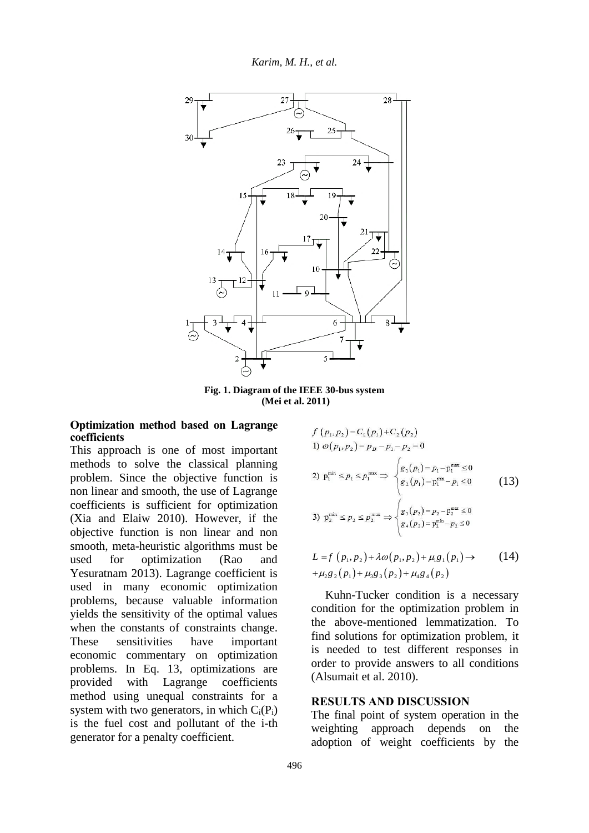

**Fig. 1. Diagram of the IEEE 30-bus system (Mei et al. 2011)**

# **Optimization method based on Lagrange coefficients**

This approach is one of most important methods to solve the classical planning problem. Since the objective function is non linear and smooth, the use of Lagrange coefficients is sufficient for optimization (Xia and Elaiw 2010). However, if the objective function is non linear and non smooth, meta-heuristic algorithms must be used for optimization (Rao and Yesuratnam 2013). Lagrange coefficient is used in many economic optimization problems, because valuable information yields the sensitivity of the optimal values when the constants of constraints change. These sensitivities have important economic commentary on optimization problems. In Eq. 13, optimizations are provided with Lagrange coefficients method using unequal constraints for a system with two generators, in which  $C_i(P_i)$ is the fuel cost and pollutant of the i-th generator for a penalty coefficient.

$$
f(p_1, p_2) = C_1(p_1) + C_2(p_2)
$$
  
\n1)  $\omega(p_1, p_2) = p_D - p_1 - p_2 = 0$   
\n2)  $p_1^{\min} \le p_1 \le p_1^{\max} \Rightarrow \begin{cases} g_1(p_1) = p_1 - p_1^{\max} \le 0 \\ g_2(p_1) = p_1^{\min} - p_1 \le 0 \end{cases}$   
\n3)  $p_2^{\min} \le p_2 \le p_2^{\max} \Rightarrow \begin{cases} g_3(p_2) = p_2 - p_2^{\max} \le 0 \\ g_4(p_2) = p_2^{\min} - p_2 \le 0 \end{cases}$  (13)

$$
L = f(p_1, p_2) + \lambda \omega(p_1, p_2) + \mu_1 g_1(p_1) \rightarrow (14) + \mu_2 g_2(p_1) + \mu_3 g_3(p_2) + \mu_4 g_4(p_2)
$$

Kuhn-Tucker condition is a necessary condition for the optimization problem in the above-mentioned lemmatization. To find solutions for optimization problem, it is needed to test different responses in order to provide answers to all conditions (Alsumait et al. 2010).

### **RESULTS AND DISCUSSION**

The final point of system operation in the weighting approach depends on the adoption of weight coefficients by the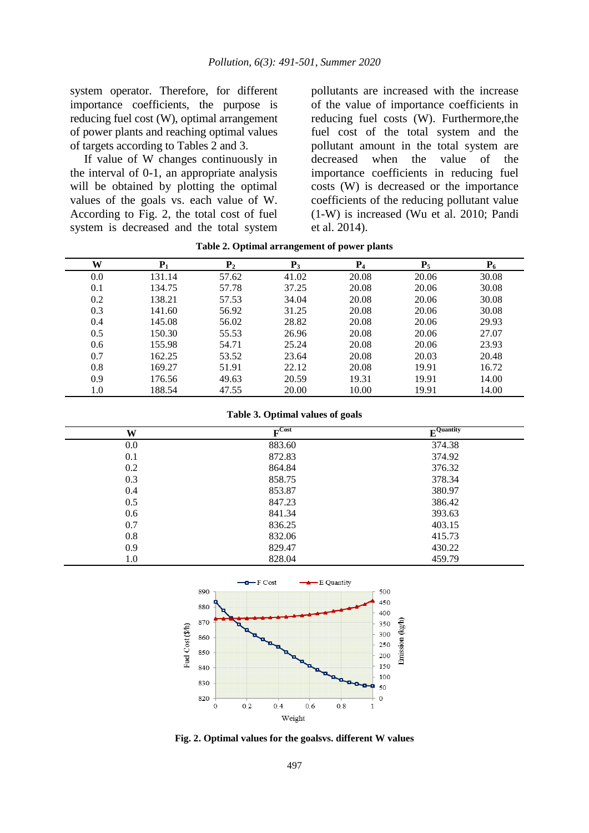system operator. Therefore, for different importance coefficients, the purpose is reducing fuel cost (W), optimal arrangement of power plants and reaching optimal values of targets according to Tables 2 and 3.

If value of W changes continuously in the interval of 0-1, an appropriate analysis will be obtained by plotting the optimal values of the goals vs. each value of W. According to Fig. 2, the total cost of fuel system is decreased and the total system pollutants are increased with the increase of the value of importance coefficients in reducing fuel costs (W). Furthermore,the fuel cost of the total system and the pollutant amount in the total system are decreased when the value of the importance coefficients in reducing fuel costs (W) is decreased or the importance coefficients of the reducing pollutant value (1-W) is increased (Wu et al. 2010; Pandi et al. 2014).

| W   | ${\bf P}_1$ | P <sub>2</sub> | $P_3$ | $P_4$ | $P_5$ | $P_6$ |
|-----|-------------|----------------|-------|-------|-------|-------|
| 0.0 | 131.14      | 57.62          | 41.02 | 20.08 | 20.06 | 30.08 |
| 0.1 | 134.75      | 57.78          | 37.25 | 20.08 | 20.06 | 30.08 |
| 0.2 | 138.21      | 57.53          | 34.04 | 20.08 | 20.06 | 30.08 |
| 0.3 | 141.60      | 56.92          | 31.25 | 20.08 | 20.06 | 30.08 |
| 0.4 | 145.08      | 56.02          | 28.82 | 20.08 | 20.06 | 29.93 |
| 0.5 | 150.30      | 55.53          | 26.96 | 20.08 | 20.06 | 27.07 |
| 0.6 | 155.98      | 54.71          | 25.24 | 20.08 | 20.06 | 23.93 |
| 0.7 | 162.25      | 53.52          | 23.64 | 20.08 | 20.03 | 20.48 |
| 0.8 | 169.27      | 51.91          | 22.12 | 20.08 | 19.91 | 16.72 |
| 0.9 | 176.56      | 49.63          | 20.59 | 19.31 | 19.91 | 14.00 |
| 1.0 | 188.54      | 47.55          | 20.00 | 10.00 | 19.91 | 14.00 |

**Table 2. Optimal arrangement of power plants**

**Table 3. Optimal values of goals**

| W   | $\Gamma$ Cost | $\mathbf{F}$ Quantity |
|-----|---------------|-----------------------|
| 0.0 | 883.60        | 374.38                |
| 0.1 | 872.83        | 374.92                |
| 0.2 | 864.84        | 376.32                |
| 0.3 | 858.75        | 378.34                |
| 0.4 | 853.87        | 380.97                |
| 0.5 | 847.23        | 386.42                |
| 0.6 | 841.34        | 393.63                |
| 0.7 | 836.25        | 403.15                |
| 0.8 | 832.06        | 415.73                |
| 0.9 | 829.47        | 430.22                |
| 1.0 | 828.04        | 459.79                |



**Fig. 2. Optimal values for the goalsvs. different W values**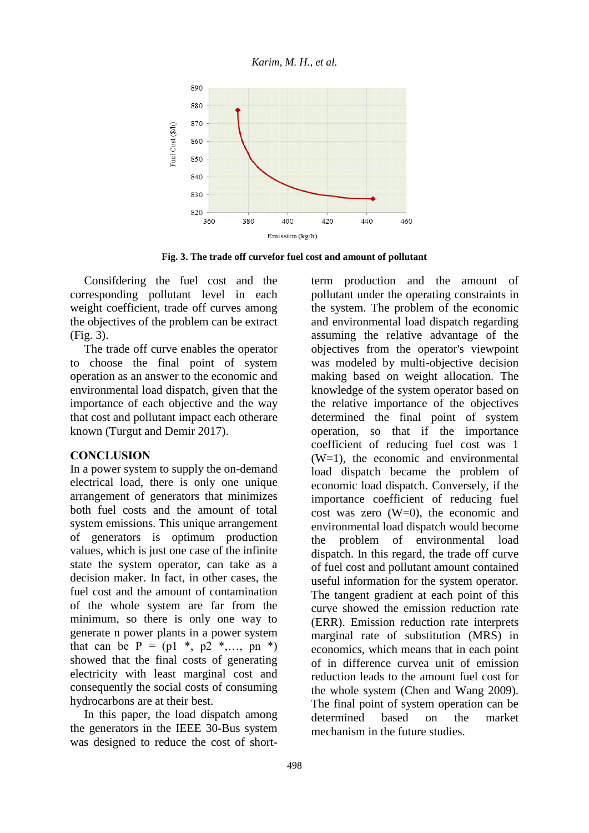*Karim, M. H., et al.*



**Fig. 3. The trade off curvefor fuel cost and amount of pollutant**

Consifdering the fuel cost and the corresponding pollutant level in each weight coefficient, trade off curves among the objectives of the problem can be extract (Fig. 3).

The trade off curve enables the operator to choose the final point of system operation as an answer to the economic and environmental load dispatch, given that the importance of each objective and the way that cost and pollutant impact each otherare known (Turgut and Demir 2017).

### **CONCLUSION**

In a power system to supply the on-demand electrical load, there is only one unique arrangement of generators that minimizes both fuel costs and the amount of total system emissions. This unique arrangement of generators is optimum production values, which is just one case of the infinite state the system operator, can take as a decision maker. In fact, in other cases, the fuel cost and the amount of contamination of the whole system are far from the minimum, so there is only one way to generate n power plants in a power system that can be  $P = (p1 *, p2 *, ..., pn * )$ showed that the final costs of generating electricity with least marginal cost and consequently the social costs of consuming hydrocarbons are at their best.

In this paper, the load dispatch among the generators in the IEEE 30-Bus system was designed to reduce the cost of shortterm production and the amount of pollutant under the operating constraints in the system. The problem of the economic and environmental load dispatch regarding assuming the relative advantage of the objectives from the operator's viewpoint was modeled by multi-objective decision making based on weight allocation. The knowledge of the system operator based on the relative importance of the objectives determined the final point of system operation, so that if the importance coefficient of reducing fuel cost was 1  $(W=1)$ , the economic and environmental load dispatch became the problem of economic load dispatch. Conversely, if the importance coefficient of reducing fuel cost was zero  $(W=0)$ , the economic and environmental load dispatch would become the problem of environmental load dispatch. In this regard, the trade off curve of fuel cost and pollutant amount contained useful information for the system operator. The tangent gradient at each point of this curve showed the emission reduction rate (ERR). Emission reduction rate interprets marginal rate of substitution (MRS) in economics, which means that in each point of in difference curvea unit of emission reduction leads to the amount fuel cost for the whole system (Chen and Wang 2009). The final point of system operation can be determined based on the market mechanism in the future studies.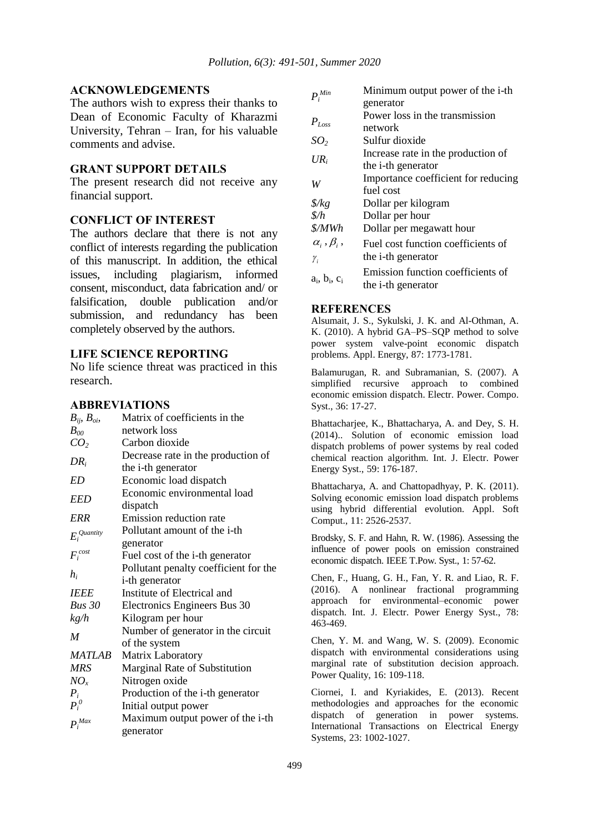### **ACKNOWLEDGEMENTS**

The authors wish to express their thanks to Dean of Economic Faculty of Kharazmi University, Tehran – Iran, for his valuable comments and advise.

### **GRANT SUPPORT DETAILS**

The present research did not receive any financial support.

### **CONFLICT OF INTEREST**

The authors declare that there is not any conflict of interests regarding the publication of this manuscript. In addition, the ethical issues, including plagiarism, informed consent, misconduct, data fabrication and/ or falsification, double publication and/or submission, and redundancy has been completely observed by the authors.

## **LIFE SCIENCE REPORTING**

No life science threat was practiced in this research.

#### **ABBREVIATIONS**

| $B_{ij}$ , $B_{\alpha i}$ , | Matrix of coefficients in the         |
|-----------------------------|---------------------------------------|
| $B_{00}$                    | network loss                          |
| CO <sub>2</sub>             | Carbon dioxide                        |
|                             | Decrease rate in the production of    |
| $DR_i$                      | the <i>i</i> -th generator            |
| ED                          | Economic load dispatch                |
| EED                         | Economic environmental load           |
|                             | dispatch                              |
| ERR                         | Emission reduction rate               |
| $E_i^{\textit{Quantity}}$   | Pollutant amount of the i-th          |
|                             | generator                             |
| $F_i^{cost}$                | Fuel cost of the i-th generator       |
|                             | Pollutant penalty coefficient for the |
| $h_i$                       | <i>i</i> -th generator                |
| <b>IEEE</b>                 | Institute of Electrical and           |
| <b>Bus 30</b>               | Electronics Engineers Bus 30          |
| kg/h                        | Kilogram per hour                     |
| $\boldsymbol{M}$            | Number of generator in the circuit    |
|                             | of the system                         |
| <b>MATLAB</b>               | Matrix Laboratory                     |
| <b>MRS</b>                  | Marginal Rate of Substitution         |
| $NO_{x}$                    | Nitrogen oxide                        |
| $P_i$                       | Production of the i-th generator      |
| $P_i^{\,0}$                 | Initial output power                  |
| $P_i^{Max}$                 | Maximum output power of the i-th      |
|                             | generator                             |

| $\boldsymbol{P}_i^{Min}$                                       | Minimum output power of the i-th.<br>generator |
|----------------------------------------------------------------|------------------------------------------------|
| $P_{Loss}$                                                     | Power loss in the transmission<br>network      |
| SO <sub>2</sub>                                                | Sulfur dioxide                                 |
| $UR_i$                                                         | Increase rate in the production of             |
|                                                                | the <i>i</i> -th generator                     |
| W                                                              | Importance coefficient for reducing            |
|                                                                | fuel cost                                      |
| $\frac{g}{kg}$                                                 | Dollar per kilogram                            |
| $\frac{\delta}{h}$                                             | Dollar per hour                                |
| \$/MWh                                                         | Dollar per megawatt hour                       |
| $\alpha_i^{\vphantom{\dagger}}, \beta_i^{\vphantom{\dagger}},$ | Fuel cost function coefficients of             |
| $\gamma_i$                                                     | the <i>i</i> -th generator                     |
|                                                                | Emission function coefficients of              |
| $a_i$ , $b_i$ , $c_i$                                          | the <i>i</i> -th generator                     |

#### **REFERENCES**

Alsumait, J. S., Sykulski, J. K. and Al-Othman, A. K. (2010). A hybrid GA–PS–SQP method to solve power system valve-point economic dispatch problems. Appl. Energy, 87: 1773-1781.

Balamurugan, R. and Subramanian, S. (2007). A simplified recursive approach to combined economic emission dispatch. Electr. Power. Compo. Syst., 36: 17-27.

Bhattacharjee, K., Bhattacharya, A. and Dey, S. H. (2014).. Solution of economic emission load dispatch problems of power systems by real coded chemical reaction algorithm. Int. J. Electr. Power Energy Syst., 59: 176-187.

Bhattacharya, A. and Chattopadhyay, P. K. (2011). Solving economic emission load dispatch problems using hybrid differential evolution. Appl. Soft Comput., 11: 2526-2537.

Brodsky, S. F. and Hahn, R. W. (1986). Assessing the influence of power pools on emission constrained economic dispatch. IEEE T.Pow. Syst., 1: 57-62.

Chen, F., Huang, G. H., Fan, Y. R. and Liao, R. F. (2016). A nonlinear fractional programming approach for environmental–economic power dispatch. Int. J. Electr. Power Energy Syst., 78: 463-469.

Chen, Y. M. and Wang, W. S. (2009). Economic dispatch with environmental considerations using marginal rate of substitution decision approach. Power Quality, 16: 109-118.

Ciornei, I. and Kyriakides, E. (2013). Recent methodologies and approaches for the economic dispatch of generation in power systems. International Transactions on Electrical Energy Systems, 23: 1002-1027.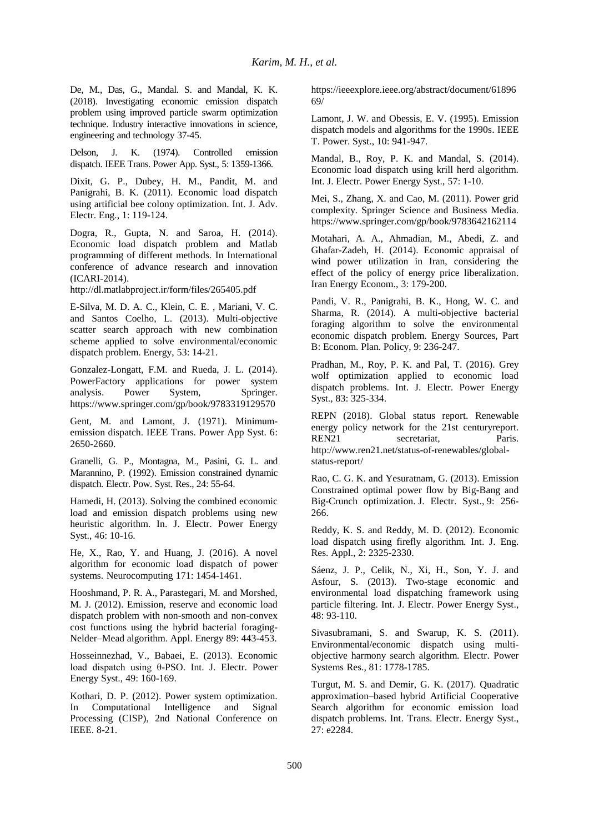De, M., Das, G., Mandal. S. and Mandal, K. K. (2018). Investigating economic emission dispatch problem using improved particle swarm optimization technique. Industry interactive innovations in science, engineering and technology 37-45.

Delson, J. K. (1974). Controlled emission dispatch. IEEE Trans. Power App. Syst., 5: 1359-1366.

Dixit, G. P., Dubey, H. M., Pandit, M. and Panigrahi, B. K. (2011). Economic load dispatch using artificial bee colony optimization. Int. J. Adv. Electr. Eng., 1: 119-124.

Dogra, R., Gupta, N. and Saroa, H. (2014). Economic load dispatch problem and Matlab programming of different methods. In International conference of advance research and innovation (ICARI-2014).

http://dl.matlabproject.ir/form/files/265405.pdf

E-Silva, M. D. A. C., Klein, C. E. , Mariani, V. C. and Santos Coelho, L. (2013). Multi-objective scatter search approach with new combination scheme applied to solve environmental/economic dispatch problem. Energy, 53: 14-21.

Gonzalez-Longatt, F.M. and Rueda, J. L. (2014). PowerFactory applications for power system analysis. Power System, Springer. https://www.springer.com/gp/book/9783319129570

Gent, M. and Lamont, J. (1971). Minimumemission dispatch. IEEE Trans. Power App Syst. 6: 2650-2660.

Granelli, G. P., Montagna, M., Pasini, G. L. and Marannino, P. (1992). Emission constrained dynamic dispatch. Electr. Pow. Syst. Res., 24: 55-64.

Hamedi, H. (2013). Solving the combined economic load and emission dispatch problems using new heuristic algorithm. In. J. Electr. Power Energy Syst., 46: 10-16.

He, X., Rao, Y. and Huang, J. (2016). A novel algorithm for economic load dispatch of power systems. Neurocomputing 171: 1454-1461.

Hooshmand, P. R. A., Parastegari, M. and Morshed, M. J. (2012). Emission, reserve and economic load dispatch problem with non-smooth and non-convex cost functions using the hybrid bacterial foraging-Nelder–Mead algorithm. Appl. Energy 89: 443-453.

Hosseinnezhad, V., Babaei, E. (2013). Economic load dispatch using θ-PSO. Int. J. Electr. Power Energy Syst., 49: 160-169.

Kothari, D. P. (2012). Power system optimization. In Computational Intelligence and Signal Processing (CISP), 2nd National Conference on IEEE. 8-21.

https://ieeexplore.ieee.org/abstract/document/61896 69/

Lamont, J. W. and Obessis, E. V. (1995). Emission dispatch models and algorithms for the 1990s. IEEE T. Power. Syst., 10: 941-947.

Mandal, B., Roy, P. K. and Mandal, S. (2014). Economic load dispatch using krill herd algorithm. Int. J. Electr. Power Energy Syst., 57: 1-10.

Mei, S., Zhang, X. and Cao, M. (2011). Power grid complexity. Springer Science and Business Media. https://www.springer.com/gp/book/9783642162114

Motahari, A. A., Ahmadian, M., Abedi, Z. and Ghafar-Zadeh, H. (2014). Economic appraisal of wind power utilization in Iran, considering the effect of the policy of energy price liberalization. Iran Energy Econom., 3: 179-200.

Pandi, V. R., Panigrahi, B. K., Hong, W. C. and Sharma, R. (2014). A multi-objective bacterial foraging algorithm to solve the environmental economic dispatch problem. Energy Sources, Part B: Econom. Plan. Policy, 9: 236-247.

Pradhan, M., Roy, P. K. and Pal, T. (2016). Grey wolf optimization applied to economic load dispatch problems. Int. J. Electr. Power Energy Syst., 83: 325-334.

REPN (2018). Global status report. Renewable energy policy network for the 21st centuryreport. REN21 secretariat, Paris. http://www.ren21.net/status-of-renewables/globalstatus-report/

Rao, C. G. K. and Yesuratnam, G. (2013). Emission Constrained optimal power flow by Big-Bang and Big-Crunch optimization. J. Electr. Syst., 9: 256- 266.

Reddy, K. S. and Reddy, M. D. (2012). Economic load dispatch using firefly algorithm. Int. J. Eng. Res. Appl., 2: 2325-2330.

Sáenz, J. P., Celik, N., Xi, H., Son, Y. J. and Asfour, S. (2013). Two-stage economic and environmental load dispatching framework using particle filtering. Int. J. Electr. Power Energy Syst., 48: 93-110.

Sivasubramani, S. and Swarup, K. S. (2011). Environmental/economic dispatch using multiobjective harmony search algorithm. Electr. Power Systems Res., 81: 1778-1785.

Turgut, M. S. and Demir, G. K. (2017). Quadratic approximation–based hybrid Artificial Cooperative Search algorithm for economic emission load dispatch problems. Int. Trans. Electr. Energy Syst., 27: e2284.